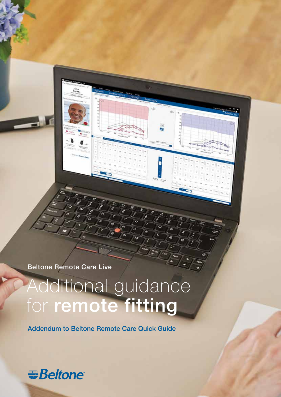Beltone Remote Care Live

# Additional guidance for remote fitting

ĥ

Addendum to Beltone Remote Care Quick Guide

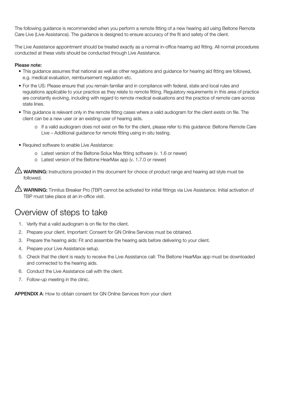The following guidance is recommended when you perform a remote fitting of a new hearing aid using Beltone Remote Care Live (Live Assistance). The guidance is designed to ensure accuracy of the fit and safety of the client.

The Live Assistance appointment should be treated exactly as a normal in-office hearing aid fitting. All normal procedures conducted at these visits should be conducted through Live Assistance.

#### Please note:

- This guidance assumes that national as well as other regulations and guidance for hearing aid fitting are followed, e.g. medical evaluation, reimbursement regulation etc.
- For the US: Please ensure that you remain familiar and in compliance with federal, state and local rules and regulations applicable to your practice as they relate to remote fitting. Regulatory requirements in this area of practice are constantly evolving, including with regard to remote medical evaluations and the practice of remote care across state lines.
- This guidance is relevant only in the remote fitting cases where a valid audiogram for the client exists on file. The client can be a new user or an existing user of hearing aids.
	- o If a valid audiogram does not exist on file for the client, please refer to this guidance: Beltone Remote Care Live – Additional guidance for remote fitting using in-situ testing.
- Required software to enable Live Assistance:
	- o Latest version of the Beltone Solux Max fitting software (v. 1.6 or newer)
	- o Latest version of the Beltone HearMax app (v. 1.7.0 or newer)

WARNING: Instructions provided in this document for choice of product range and hearing aid style must be followed.

WARNING: Tinnitus Breaker Pro (TBP) cannot be activated for initial fittings via Live Assistance. Initial activation of TBP must take place at an in-office visit.

### Overview of steps to take

- 1. Verify that a valid audiogram is on file for the client.
- 2. Prepare your client. Important: Consent for GN Online Services must be obtained.
- 3. Prepare the hearing aids: Fit and assemble the hearing aids before delivering to your client.
- 4. Prepare your Live Assistance setup.
- 5. Check that the client is ready to receive the Live Assistance call: The Beltone HearMax app must be downloaded and connected to the hearing aids.
- 6. Conduct the Live Assistance call with the client.
- 7. Follow-up meeting in the clinic.

APPENDIX A: How to obtain consent for GN Online Services from your client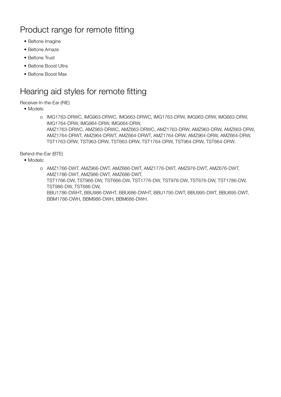## Product range for remote fitting

- Beltone Imagine
- Beltone Amaze
- Beltone Trust
- Beltone Boost Ultra
- Beltone Boost Max

### Hearing aid styles for remote fitting

#### Receiver-In-the-Ear (RIE)

- Models:
	- o IMG1763-DRWC, IMG963-DRWC, IMG663-DRWC, IMG1763-DRW, IMG963-DRW, IMG663-DRW, IMG1764-DRW, IMG964-DRW, IMG664-DRW, AMZ1763-DRWC, AMZ963-DRWC, AMZ663-DRWC, AMZ1763-DRW, AMZ963-DRW, AMZ663-DRW, AMZ1764-DRWT, AMZ964-DRWT, AMZ664-DRWT, AMZ1764-DRW, AMZ964-DRW, AMZ664-DRW, TST1763-DRW, TST963-DRW, TST663-DRW, TST1764-DRW, TST964-DRW, TST664-DRW.

#### Behind-the-Ear (BTE)

• Models:

o AMZ1766-DWT, AMZ966-DWT, AMZ666-DWT, AMZ1776-DWT, AMZ976-DWT, AMZ676-DWT, AMZ1786-DWT, AMZ986-DWT, AMZ686-DWT, TST1766-DW, TST966-DW, TST666-DW, TST1776-DW, TST976-DW, TST676-DW, TST1786-DW, TST986-DW, TST686-DW, BBU1786-DWHT, BBU986-DWHT, BBU686-DWHT, BBU1795-DWT, BBU995-DWT, BBU695-DWT, BBM1786-DWH, BBM986-DWH, BBM686-DWH.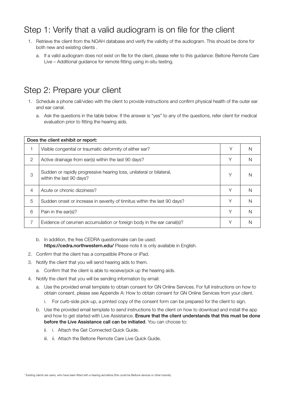### Step 1: Verify that a valid audiogram is on file for the client

- 1. Retrieve the client from the NOAH database and verify the validity of the audiogram. This should be done for both new and existing clients .
	- a. If a valid audiogram does not exist on file for the client, please refer to this guidance: Beltone Remote Care Live – Additional guidance for remote fitting using in-situ testing.

### Step 2: Prepare your client

- 1. Schedule a phone call/video with the client to provide instructions and confirm physical health of the outer ear and ear canal.
	- a. Ask the questions in the table below. If the answer is "yes" to any of the questions, refer client for medical evaluation prior to fitting the hearing aids.

| Does the client exhibit or report: |                                                                                                  |   |   |
|------------------------------------|--------------------------------------------------------------------------------------------------|---|---|
|                                    | Visible congenital or traumatic deformity of either ear?                                         | Υ | N |
| 2                                  | Active drainage from ear(s) within the last 90 days?                                             | Υ | N |
| 3                                  | Sudden or rapidly progressive hearing loss, unilateral or bilateral,<br>within the last 90 days? | Υ | N |
| $\overline{4}$                     | Acute or chronic dizziness?                                                                      | Υ | N |
| 5                                  | Sudden onset or increase in severity of tinnitus within the last 90 days?                        | Υ | N |
| 6                                  | Pain in the ear(s)?                                                                              | Υ | N |
| 7                                  | Evidence of cerumen accumulation or foreign body in the ear canal(s)?                            | Υ | N |

- b. In addition, the free CEDRA questionnaire can be used: https://cedra.northwestern.edu/ Please note it is only available in English.
- 2. Confirm that the client has a compatible iPhone or iPad.
- 3. Notify the client that you will send hearing aids to them.
	- a. Confirm that the client is able to receive/pick up the hearing aids.
- 4. Notify the client that you will be sending information by email:
	- a. Use the provided email template to obtain consent for GN Online Services. For full instructions on how to obtain consent, please see Appendix A: How to obtain consent for GN Online Services from your client.
		- For curb-side pick-up, a printed copy of the consent form can be prepared for the client to sign.
	- b. Use the provided email template to send instructions to the client on how to download and install the app and how to get started with Live Assistance. Ensure that the client understands that this must be done before the Live Assistance call can be initiated. You can choose to:
		- ii. i. Attach the Get Connected Quick Guide.
		- iii. ii. Attach the Beltone Remote Care Live Quick Guide.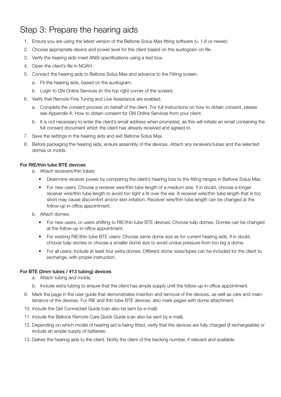### Step 3: Prepare the hearing aids

- 1. Ensure you are using the latest version of the Beltone Solus Max fitting software (v. 1.6 or newer).
- 2. Choose appropriate device and power level for the client based on the audiogram on file.
- 3. Verify the hearing aids meet ANSI specifications using a test box.
- 4. Open the client's file in NOAH.
- 5. Connect the hearing aids to Beltone Solus Max and advance to the Fitting screen.
	- a. Fit the hearing aids, based on the audiogram.
	- b. Login to GN Online Services (in the top right corner of the screen).
- 6. Verify that Remote Fine Tuning and Live Assistance are enabled.
	- a. Complete the consent process on behalf of the client. For full instructions on how to obtain consent, please see Appendix A: How to obtain consent for GN Online Services from your client.
	- b. It is not necessary to enter the client's email address when prompted, as this will initiate an email containing the full consent document which the client has already received and agreed to.
- 7. Save the settings in the hearing aids and exit Beltone Solus Max.
- 8. Before packaging the hearing aids, ensure assembly of the devices. Attach any receivers/tubes and the selected domes or molds:

#### For RIE/thin tube BTE devices

- a. Attach receivers/thin tubes:
	- Determine receiver power by comparing the client's hearing loss to the fitting ranges in Beltone Solus Max.
	- For new users: Choose a receiver wire/thin tube length of a medium size. If in doubt, choose a longer receiver wire/thin tube length to avoid too tight a fit over the ear. A receiver wire/thin tube length that is too short may cause discomfort and/or skin irritation. Receiver wire/thin tube length can be changed at the follow-up in-office appointment.
- b. Attach domes:
	- For new users, or users shifting to RIE/thin tube BTE devices: Choose tulip domes. Domes can be changed at the follow-up in-office appointment.
	- For existing RIE/thin tube BTE users: Choose same dome size as for current hearing aids. If in doubt, choose tulip domes or choose a smaller dome size to avoid undue pressure from too big a dome.
	- For all users: Include at least four extra domes. Different dome sizes/types can be included for the client to exchange, with proper instruction.

#### For BTE (2mm tubes / #13 tubing) devices

- a. Attach tubing and molds.
- b. Include extra tubing to ensure that the client has ample supply until the follow-up in-office appointment.
- 9. Mark the page in the user guide that demonstrates insertion and removal of the devices, as well as care and maintenance of the devices. For RIE and thin tube BTE devices, also mark pages with dome attachment.
- 10. Include the Get Connected Guide (can also be sent by e-mail).
- 11. Include the Beltone Remote Care Quick Guide (can also be sent by e-mail).
- 12. Depending on which model of hearing aid is being fitted, verify that the devices are fully charged (if rechargeable) or include an ample supply of batteries.
- 13. Deliver the hearing aids to the client. Notify the client of the tracking number, if relevant and available.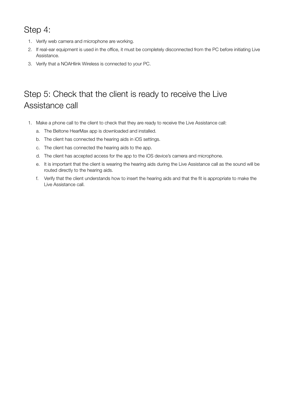### Step 4:

- 1. Verify web camera and microphone are working.
- 2. If real-ear equipment is used in the office, it must be completely disconnected from the PC before initiating Live Assistance.
- 3. Verify that a NOAHlink Wireless is connected to your PC.

# Step 5: Check that the client is ready to receive the Live Assistance call

- 1. Make a phone call to the client to check that they are ready to receive the Live Assistance call:
	- a. The Beltone HearMax app is downloaded and installed.
	- b. The client has connected the hearing aids in iOS settings.
	- c. The client has connected the hearing aids to the app.
	- d. The client has accepted access for the app to the iOS device's camera and microphone.
	- e. It is important that the client is wearing the hearing aids during the Live Assistance call as the sound will be routed directly to the hearing aids.
	- f. Verify that the client understands how to insert the hearing aids and that the fit is appropriate to make the Live Assistance call.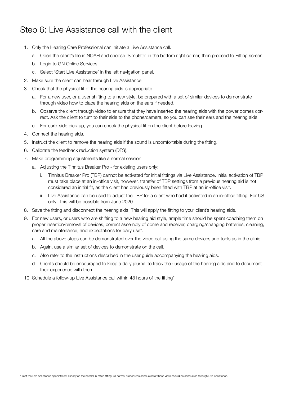### Step 6: Live Assistance call with the client

- 1. Only the Hearing Care Professional can initiate a Live Assistance call.
	- a. Open the client's file in NOAH and choose 'Simulate' in the bottom right corner, then proceed to Fitting screen.
	- b. Login to GN Online Services.
	- c. Select 'Start Live Assistance' in the left navigation panel.
- 2. Make sure the client can hear through Live Assistance.
- 3. Check that the physical fit of the hearing aids is appropriate.
	- a. For a new user, or a user shifting to a new style, be prepared with a set of similar devices to demonstrate through video how to place the hearing aids on the ears if needed.
	- b. Observe the client through video to ensure that they have inserted the hearing aids with the power domes correct. Ask the client to turn to their side to the phone/camera, so you can see their ears and the hearing aids.
	- c. For curb-side pick-up, you can check the physical fit on the client before leaving.
- 4. Connect the hearing aids.
- 5. Instruct the client to remove the hearing aids if the sound is uncomfortable during the fitting.
- 6. Calibrate the feedback reduction system (DFS).
- 7. Make programming adjustments like a normal session.
	- a. Adjusting the Tinnitus Breaker Pro for existing users only:
		- i. Tinnitus Breaker Pro (TBP) cannot be activated for initial fittings via Live Assistance. Initial activation of TBP must take place at an in-office visit, however, transfer of TBP settings from a previous hearing aid is not considered an initial fit, as the client has previously been fitted with TBP at an in-office visit.
		- ii. Live Assistance can be used to adjust the TBP for a client who had it activated in an in-office fitting. For US only: This will be possible from June 2020.
- 8. Save the fitting and disconnect the hearing aids. This will apply the fitting to your client's hearing aids.
- 9. For new users, or users who are shifting to a new hearing aid style, ample time should be spent coaching them on proper insertion/removal of devices, correct assembly of dome and receiver, charging/changing batteries, cleaning, care and maintenance, and expectations for daily use\*.
	- a. All the above steps can be demonstrated over the video call using the same devices and tools as in the clinic.
	- b. Again, use a similar set of devices to demonstrate on the call.
	- c. Also refer to the instructions described in the user guide accompanying the hearing aids.
	- d. Clients should be encouraged to keep a daily journal to track their usage of the hearing aids and to document their experience with them.
- 10. Schedule a follow-up Live Assistance call within 48 hours of the fitting\*.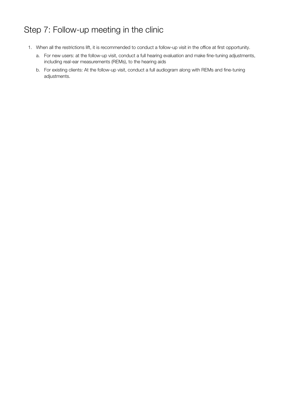## Step 7: Follow-up meeting in the clinic

- 1. When all the restrictions lift, it is recommended to conduct a follow-up visit in the office at first opportunity.
	- a. For new users: at the follow-up visit, conduct a full hearing evaluation and make fine-tuning adjustments, including real-ear measurements (REMs), to the hearing aids
	- b. For existing clients: At the follow-up visit, conduct a full audiogram along with REMs and fine-tuning adjustments.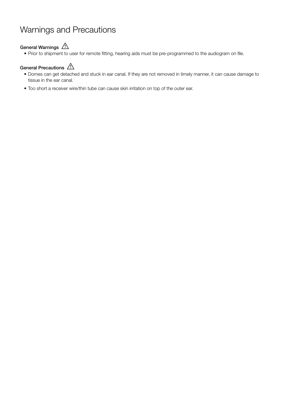### Warnings and Precautions

#### General Warnings  $\bigwedge$

• Prior to shipment to user for remote fitting, hearing aids must be pre-programmed to the audiogram on file.

#### General Precautions  $\bigwedge$

- Domes can get detached and stuck in ear canal. If they are not removed in timely manner, it can cause damage to tissue in the ear canal.
- Too short a receiver wire/thin tube can cause skin irritation on top of the outer ear.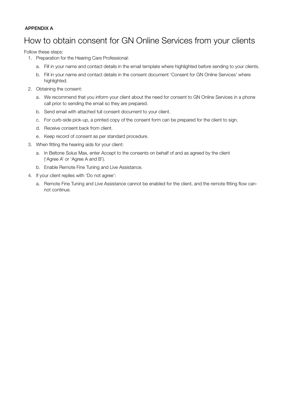#### APPENDIX A

### How to obtain consent for GN Online Services from your clients

Follow these steps:

- 1. Preparation for the Hearing Care Professional:
	- a. Fill in your name and contact details in the email template where highlighted before sending to your clients.
	- b. Fill in your name and contact details in the consent document 'Consent for GN Online Services' where highlighted.
- 2. Obtaining the consent:
	- a. We recommend that you inform your client about the need for consent to GN Online Services in a phone call prior to sending the email so they are prepared.
	- b. Send email with attached full consent document to your client.
	- c. For curb-side pick-up, a printed copy of the consent form can be prepared for the client to sign.
	- d. Receive consent back from client.
	- e. Keep record of consent as per standard procedure.
- 3. When fitting the hearing aids for your client:
	- a. In Beltone Solus Max, enter Accept to the consents on behalf of and as agreed by the client ('Agree A' or 'Agree A and B').
	- b. Enable Remote Fine Tuning and Live Assistance.
- 4. If your client replies with 'Do not agree':
	- a. Remote Fine Tuning and Live Assistance cannot be enabled for the client, and the remote fitting flow cannot continue.